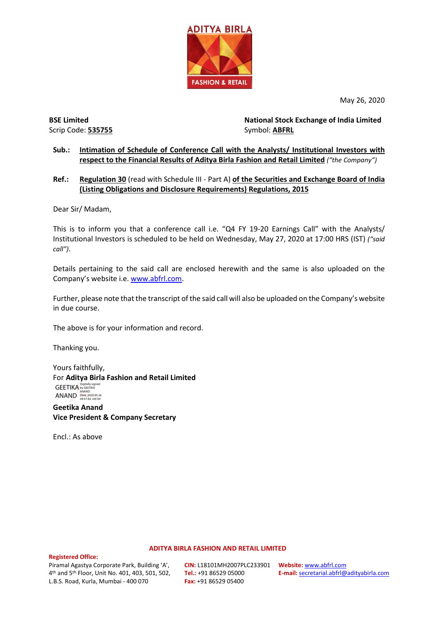

May 26, 2020

Scrip Code: **535755** Symbol: **ABFRL** 

**BSE Limited National Stock Exchange of India Limited**

### **Sub.: Intimation of Schedule of Conference Call with the Analysts/ Institutional Investors with respect to the Financial Results of Aditya Birla Fashion and Retail Limited** *("the Company")*

### **Ref.: Regulation 30** (read with Schedule III - Part A) **of the Securities and Exchange Board of India (Listing Obligations and Disclosure Requirements) Regulations, 2015**

Dear Sir/ Madam,

This is to inform you that a conference call i.e. "Q4 FY 19-20 Earnings Call" with the Analysts/ Institutional Investors is scheduled to be held on Wednesday, May 27, 2020 at 17:00 HRS (IST) *("said call")*.

Details pertaining to the said call are enclosed herewith and the same is also uploaded on the Company's website i.e[. www.abfrl.com.](http://www.abfrl.com/)

Further, please note that the transcript of the said call will also be uploaded on the Company's website in due course.

The above is for your information and record.

Thanking you.

Yours faithfully, For **Aditya Birla Fashion and Retail Limited** GEETIKA Digitally signed ANAND<br>  $\begin{array}{c}\n\mathbf{ANAND}\n\longrightarrow\n\begin{array}{c}\n\text{ANAND}\n\longrightarrow\n\end{array}\n\begin{array}{c}\n\text{ANAND}\n\longrightarrow\n\end{array}\n\end{array}$ 

**Geetika Anand Vice President & Company Secretary**

Encl.: As above

#### **ADITYA BIRLA FASHION AND RETAIL LIMITED**

**Registered Office:** 

Piramal Agastya Corporate Park, Building 'A', 4th and 5th Floor, Unit No. 401, 403, 501, 502, L.B.S. Road, Kurla, Mumbai - 400 070

**CIN:** L18101MH2007PLC233901 **Tel.:** +91 86529 05000 **Fax:** +91 86529 05400

**Website:** [www.abfrl.com](http://www.abfrl.com/) **E-mail:** [secretarial.abfrl@adityabirla.com](mailto:secretarial.abfrl@adityabirla.com)